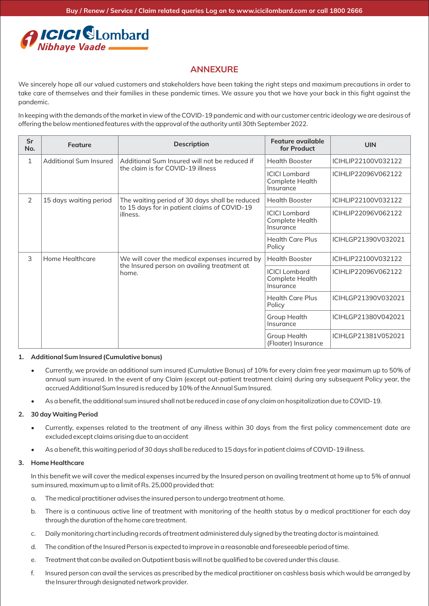# *ICICI SLombard*<br>Nibhaye Vaade

# **ANNEXURE**

We sincerely hope all our valued customers and stakeholders have been taking the right steps and maximum precautions in order to take care of themselves and their families in these pandemic times. We assure you that we have your back in this fight against the pandemic.

In keeping with the demands of the market in view of the COVID-19 pandemic and with our customer centric ideology we are desirous of offering the below mentioned features with the approval of the authority until 30th September 2022.

| Sr<br>No. | Feature                | <b>Description</b>                                                                                         | Feature available<br>for Product                     | <b>UIN</b>          |
|-----------|------------------------|------------------------------------------------------------------------------------------------------------|------------------------------------------------------|---------------------|
| 1         | Additional Sum Insured | Additional Sum Insured will not be reduced if<br>the claim is for COVID-19 illness                         | <b>Health Booster</b>                                | ICIHLIP22100V032122 |
|           |                        |                                                                                                            | <b>ICICI</b> Lombard<br>Complete Health<br>Insurance | ICIHLIP22096V062122 |
| 2         | 15 days waiting period | The waiting period of 30 days shall be reduced<br>to 15 days for in patient claims of COVID-19<br>illness. | <b>Health Booster</b>                                | ICIHLIP22100V032122 |
|           |                        |                                                                                                            | <b>ICICI</b> Lombard<br>Complete Health<br>Insurance | ICIHLIP22096V062122 |
|           |                        |                                                                                                            | <b>Health Care Plus</b><br>Policy                    | ICIHLGP21390V032021 |
| 3         | Home Healthcare        | We will cover the medical expenses incurred by<br>the Insured person on availing treatment at<br>home.     | <b>Health Booster</b>                                | ICIHLIP22100V032122 |
|           |                        |                                                                                                            | <b>ICICI</b> Lombard<br>Complete Health<br>Insurance | ICIHLIP22096V062122 |
|           |                        |                                                                                                            | <b>Health Care Plus</b><br>Policy                    | ICIHLGP21390V032021 |
|           |                        |                                                                                                            | Group Health<br>Insurance                            | ICIHLGP21380V042021 |
|           |                        |                                                                                                            | Group Health<br>(Floater) Insurance                  | ICIHLGP21381V052021 |

#### **1. Additional Sum Insured (Cumulative bonus)**

- Currently, we provide an additional sum insured (Cumulative Bonus) of 10% for every claim free year maximum up to 50% of annual sum insured. In the event of any Claim (except out-patient treatment claim) during any subsequent Policy year, the accrued Additional Sum Insured is reduced by 10% of the Annual Sum Insured.
- As a benefit, the additional sum insured shall not be reduced in case of any claim on hospitalization due to COVID-19.

### **2. 30 day Waiting Period**

- Currently, expenses related to the treatment of any illness within 30 days from the first policy commencement date are excluded except claims arising due to an accident
- As a benefit, this waiting period of 30 days shall be reduced to 15 days for in patient claims of COVID-19 illness.

#### **3. Home Healthcare**

In this benefit we will cover the medical expenses incurred by the Insured person on availing treatment at home up to 5% of annual sum insured, maximum up to a limit of Rs. 25,000 provided that:

- a. The medical practitioner advises the insured person to undergo treatment at home.
- b. There is a continuous active line of treatment with monitoring of the health status by a medical practitioner for each day through the duration of the home care treatment.
- c. Daily monitoring chart including records of treatment administered duly signed by the treating doctor is maintained.
- d. The condition of the Insured Person is expected to improve in a reasonable and foreseeable period of time.
- e. Treatment that can be availed on Outpatient basis will not be qualified to be covered under this clause.
- f. Insured person can avail the services as prescribed by the medical practitioner on cashless basis which would be arranged by the Insurer through designated network provider.